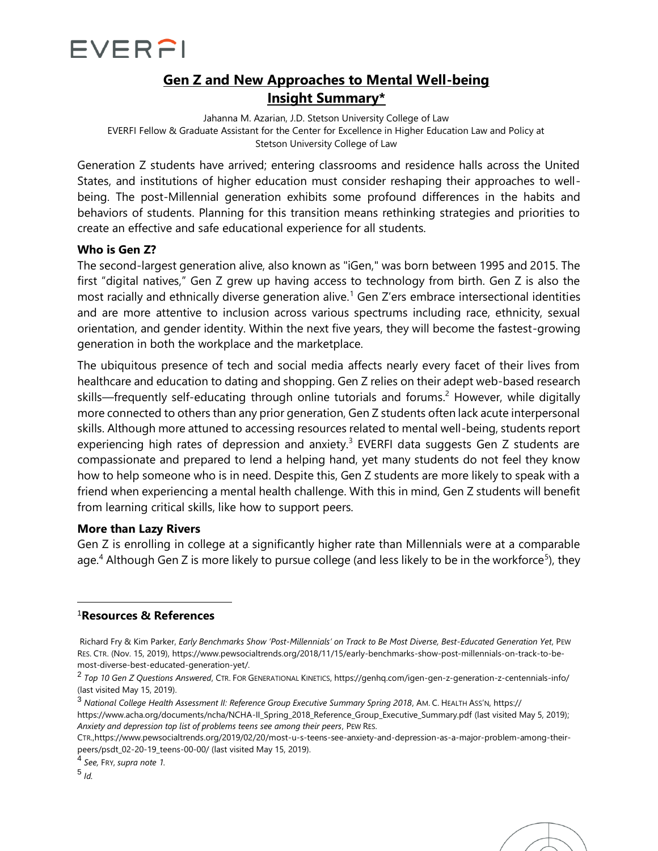

# **Gen Z and New Approaches to Mental Well-being Insight Summary\***

Jahanna M. Azarian, J.D. Stetson University College of Law EVERFI Fellow & Graduate Assistant for the Center for Excellence in Higher Education Law and Policy at Stetson University College of Law

Generation Z students have arrived; entering classrooms and residence halls across the United States, and institutions of higher education must consider reshaping their approaches to wellbeing. The post-Millennial generation exhibits some profound differences in the habits and behaviors of students. Planning for this transition means rethinking strategies and priorities to create an effective and safe educational experience for all students.

# **Who is Gen Z?**

The second-largest generation alive, also known as "iGen," was born between 1995 and 2015. The first "digital natives," Gen Z grew up having access to technology from birth. Gen Z is also the most racially and ethnically diverse generation alive.<sup>1</sup> Gen Z'ers embrace intersectional identities and are more attentive to inclusion across various spectrums including race, ethnicity, sexual orientation, and gender identity. Within the next five years, they will become the fastest-growing generation in both the workplace and the marketplace.

The ubiquitous presence of tech and social media affects nearly every facet of their lives from healthcare and education to dating and shopping. Gen Z relies on their adept web-based research skills—frequently self-educating through online tutorials and forums.<sup>2</sup> However, while digitally more connected to others than any prior generation, Gen Z students often lack acute interpersonal skills. Although more attuned to accessing resources related to mental well-being, students report experiencing high rates of depression and anxiety.<sup>3</sup> EVERFI data suggests Gen Z students are compassionate and prepared to lend a helping hand, yet many students do not feel they know how to help someone who is in need. Despite this, Gen Z students are more likely to speak with a friend when experiencing a mental health challenge. With this in mind, Gen Z students will benefit from learning critical skills, like how to support peers.

#### **More than Lazy Rivers**

Gen Z is enrolling in college at a significantly higher rate than Millennials were at a comparable age.<sup>4</sup> Although Gen Z is more likely to pursue college (and less likely to be in the workforce<sup>5</sup>), they

# <sup>1</sup>**Resources & References**

4 *See,* FRY, *supra note 1.*

5 *Id.*



Richard Fry & Kim Parker, *Early Benchmarks Show 'Post-Millennials' on Track to Be Most Diverse, Best-Educated Generation Yet*, PEW RES. CTR. (Nov. 15, 2019), https://www.pewsocialtrends.org/2018/11/15/early-benchmarks-show-post-millennials-on-track-to-bemost-diverse-best-educated-generation-yet/.

<sup>2</sup> *Top 10 Gen Z Questions Answered*, CTR. FOR GENERATIONAL KINETICS, https://genhq.com/igen-gen-z-generation-z-centennials-info/ (last visited May 15, 2019).

<sup>3</sup> *National College Health Assessment II: Reference Group Executive Summary Spring 2018*, AM. C. HEALTH ASS'N, https:// https://www.acha.org/documents/ncha/NCHA-II\_Spring\_2018\_Reference\_Group\_Executive\_Summary.pdf (last visited May 5, 2019); *Anxiety and depression top list of problems teens see among their peers*, PEW RES.

CTR.,https://www.pewsocialtrends.org/2019/02/20/most-u-s-teens-see-anxiety-and-depression-as-a-major-problem-among-theirpeers/psdt\_02-20-19\_teens-00-00/ (last visited May 15, 2019).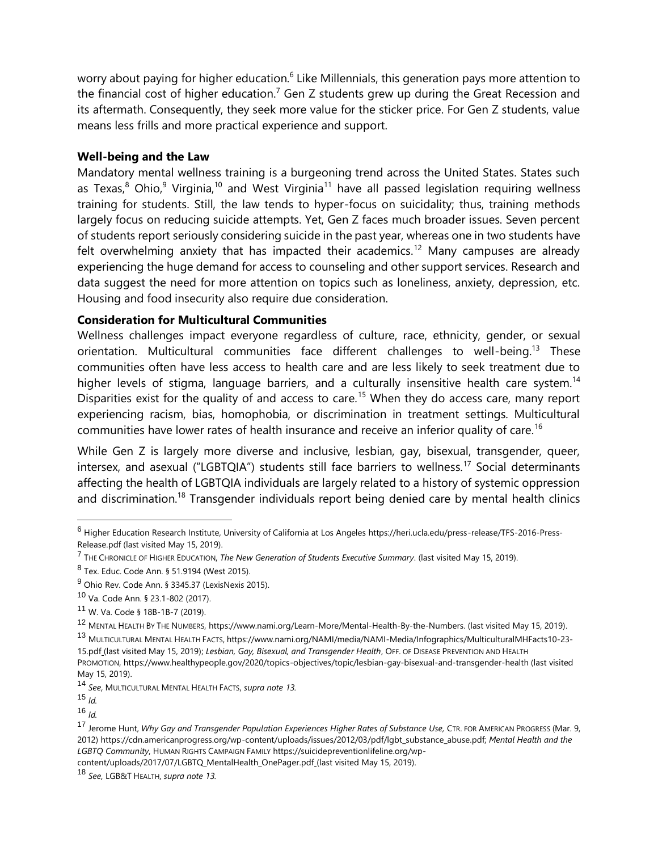worry about paying for higher education.<sup>6</sup> Like Millennials, this generation pays more attention to the financial cost of higher education.<sup>7</sup> Gen Z students grew up during the Great Recession and its aftermath. Consequently, they seek more value for the sticker price. For Gen Z students, value means less frills and more practical experience and support.

# **Well-being and the Law**

Mandatory mental wellness training is a burgeoning trend across the United States. States such as Texas, $8$  Ohio, $9$  Virginia, $10$  and West Virginia<sup>11</sup> have all passed legislation requiring wellness training for students. Still, the law tends to hyper-focus on suicidality; thus, training methods largely focus on reducing suicide attempts. Yet, Gen Z faces much broader issues. Seven percent of students report seriously considering suicide in the past year, whereas one in two students have felt overwhelming anxiety that has impacted their academics.<sup>12</sup> Many campuses are already experiencing the huge demand for access to counseling and other support services. Research and data suggest the need for more attention on topics such as loneliness, anxiety, depression, etc. Housing and food insecurity also require due consideration.

# **Consideration for Multicultural Communities**

Wellness challenges impact everyone regardless of culture, race, ethnicity, gender, or sexual orientation. Multicultural communities face different challenges to well-being.<sup>13</sup> These communities often have less access to health care and are less likely to seek treatment due to higher levels of stigma, language barriers, and a culturally insensitive health care system.<sup>14</sup> Disparities exist for the quality of and access to care.<sup>15</sup> When they do access care, many report experiencing racism, bias, homophobia, or discrimination in treatment settings. Multicultural communities have lower rates of health insurance and receive an inferior quality of care.<sup>16</sup>

While Gen Z is largely more diverse and inclusive, lesbian, gay, bisexual, transgender, queer, intersex, and asexual ("LGBTQIA") students still face barriers to wellness.<sup>17</sup> Social determinants affecting the health of LGBTQIA individuals are largely related to a history of systemic oppression and discrimination.<sup>18</sup> Transgender individuals report being denied care by mental health clinics

<sup>6</sup> Higher Education Research Institute, University of California at Los Angeles https://heri.ucla.edu/press-release/TFS-2016-Press-Release.pdf (last visited May 15, 2019).

<sup>7</sup> THE CHRONICLE OF HIGHER EDUCATION, *The New Generation of Students Executive Summary*. (last visited May 15, 2019).

<sup>8</sup> Tex. Educ. Code Ann. § 51.9194 (West 2015).

<sup>&</sup>lt;sup>9</sup> Ohio Rev. Code Ann. § 3345.37 (LexisNexis 2015).

<sup>10</sup> Va. Code Ann. § 23.1-802 (2017).

<sup>11</sup> W. Va. Code § 18B-1B-7 (2019).

<sup>12</sup> MENTAL HEALTH BY THE NUMBERS, https://www.nami.org/Learn-More/Mental-Health-By-the-Numbers. (last visited May 15, 2019).

<sup>13</sup> MULTICULTURAL MENTAL HEALTH FACTS, https://www.nami.org/NAMI/media/NAMI-Media/Infographics/MulticulturalMHFacts10-23- 15.pdf (last visited May 15, 2019); Lesbian, Gay, Bisexual, and Transgender Health, OFF. OF DISEASE PREVENTION AND HEALTH PROMOTION, https://www.healthypeople.gov/2020/topics-objectives/topic/lesbian-gay-bisexual-and-transgender-health (last visited May 15, 2019).

<sup>14</sup> *See,* MULTICULTURAL MENTAL HEALTH FACTS, *supra note 13.*

<sup>15</sup> *Id.*

<sup>16</sup> *Id.*

<sup>&</sup>lt;sup>17</sup> Jerome Hunt, Why Gay and Transgender Population Experiences Higher Rates of Substance Use, CTR. FOR AMERICAN PROGRESS (Mar. 9, 2012) https://cdn.americanprogress.org/wp-content/uploads/issues/2012/03/pdf/lgbt\_substance\_abuse.pdf; *Mental Health and the LGBTQ Community*, HUMAN RIGHTS CAMPAIGN FAMILY https://suicidepreventionlifeline.org/wp-

content/uploads/2017/07/LGBTQ\_MentalHealth\_OnePager.pdf (last visited May 15, 2019).

<sup>18</sup> *See,* LGB&T HEALTH, *supra note 13.*